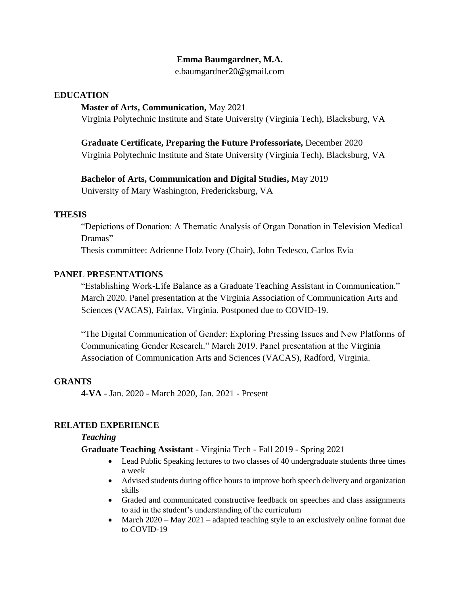### **Emma Baumgardner, M.A.**

e.baumgardner20@gmail.com

### **EDUCATION**

#### **Master of Arts, Communication,** May 2021

Virginia Polytechnic Institute and State University (Virginia Tech), Blacksburg, VA

# **Graduate Certificate, Preparing the Future Professoriate,** December 2020

Virginia Polytechnic Institute and State University (Virginia Tech), Blacksburg, VA

# **Bachelor of Arts, Communication and Digital Studies,** May 2019

University of Mary Washington, Fredericksburg, VA

### **THESIS**

"Depictions of Donation: A Thematic Analysis of Organ Donation in Television Medical Dramas"

Thesis committee: Adrienne Holz Ivory (Chair), John Tedesco, Carlos Evia

### **PANEL PRESENTATIONS**

"Establishing Work-Life Balance as a Graduate Teaching Assistant in Communication." March 2020. Panel presentation at the Virginia Association of Communication Arts and Sciences (VACAS), Fairfax, Virginia. Postponed due to COVID-19.

"The Digital Communication of Gender: Exploring Pressing Issues and New Platforms of Communicating Gender Research." March 2019. Panel presentation at the Virginia Association of Communication Arts and Sciences (VACAS), Radford, Virginia.

### **GRANTS**

**4-VA** - Jan. 2020 - March 2020, Jan. 2021 - Present

# **RELATED EXPERIENCE**

### *Teaching*

### **Graduate Teaching Assistant** - Virginia Tech - Fall 2019 - Spring 2021

- Lead Public Speaking lectures to two classes of 40 undergraduate students three times a week
- Advised students during office hours to improve both speech delivery and organization skills
- Graded and communicated constructive feedback on speeches and class assignments to aid in the student's understanding of the curriculum
- March 2020 May 2021 adapted teaching style to an exclusively online format due to COVID-19